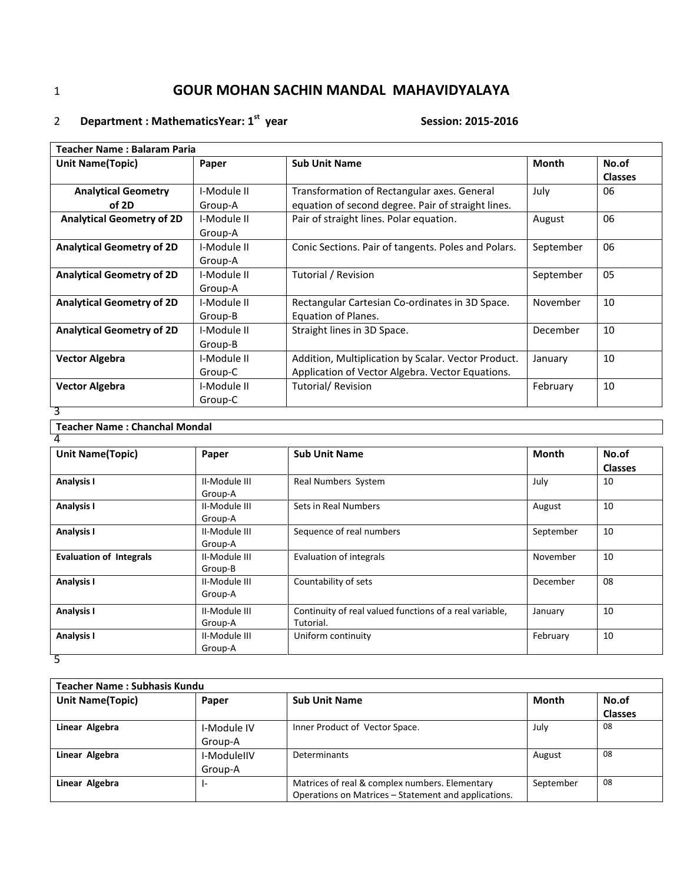# 2 Department : MathematicsYear: 1<sup>st</sup> year Session: 2015-2016

| Teacher Name : Balaram Paria     |             |                                                     |              |                |  |
|----------------------------------|-------------|-----------------------------------------------------|--------------|----------------|--|
| <b>Unit Name(Topic)</b>          | Paper       | <b>Sub Unit Name</b>                                | <b>Month</b> | No.of          |  |
|                                  |             |                                                     |              | <b>Classes</b> |  |
| <b>Analytical Geometry</b>       | I-Module II | Transformation of Rectangular axes. General         | July         | 06             |  |
| of 2D                            | Group-A     | equation of second degree. Pair of straight lines.  |              |                |  |
| <b>Analytical Geometry of 2D</b> | I-Module II | Pair of straight lines. Polar equation.             | August       | 06             |  |
|                                  | Group-A     |                                                     |              |                |  |
| <b>Analytical Geometry of 2D</b> | I-Module II | Conic Sections. Pair of tangents. Poles and Polars. | September    | 06             |  |
|                                  | Group-A     |                                                     |              |                |  |
| <b>Analytical Geometry of 2D</b> | I-Module II | Tutorial / Revision                                 | September    | 05             |  |
|                                  | Group-A     |                                                     |              |                |  |
| <b>Analytical Geometry of 2D</b> | I-Module II | Rectangular Cartesian Co-ordinates in 3D Space.     | November     | 10             |  |
|                                  | Group-B     | Equation of Planes.                                 |              |                |  |
| <b>Analytical Geometry of 2D</b> | I-Module II | Straight lines in 3D Space.                         | December     | 10             |  |
|                                  | Group-B     |                                                     |              |                |  |
| <b>Vector Algebra</b>            | I-Module II | Addition, Multiplication by Scalar. Vector Product. | January      | 10             |  |
|                                  | Group-C     | Application of Vector Algebra. Vector Equations.    |              |                |  |
| <b>Vector Algebra</b>            | I-Module II | Tutorial/Revision                                   | February     | 10             |  |
|                                  | Group-C     |                                                     |              |                |  |
| 3                                |             |                                                     |              |                |  |

### **Teacher Name : Chanchal Mondal**

| $\overline{4}$                 |               |                                                         |              |                |
|--------------------------------|---------------|---------------------------------------------------------|--------------|----------------|
| <b>Unit Name(Topic)</b>        | Paper         | <b>Sub Unit Name</b>                                    | <b>Month</b> | No.of          |
|                                |               |                                                         |              | <b>Classes</b> |
| <b>Analysis I</b>              | II-Module III | Real Numbers System                                     | July         | 10             |
|                                | Group-A       |                                                         |              |                |
| <b>Analysis I</b>              | II-Module III | Sets in Real Numbers                                    | August       | 10             |
|                                | Group-A       |                                                         |              |                |
| <b>Analysis I</b>              | II-Module III | Sequence of real numbers                                | September    | 10             |
|                                | Group-A       |                                                         |              |                |
| <b>Evaluation of Integrals</b> | II-Module III | <b>Evaluation of integrals</b>                          | November     | 10             |
|                                | Group-B       |                                                         |              |                |
| <b>Analysis I</b>              | II-Module III | Countability of sets                                    | December     | 08             |
|                                | Group-A       |                                                         |              |                |
| <b>Analysis I</b>              | II-Module III | Continuity of real valued functions of a real variable, | January      | 10             |
|                                | Group-A       | Tutorial.                                               |              |                |
| <b>Analysis I</b>              | II-Module III | Uniform continuity                                      | February     | 10             |
|                                | Group-A       |                                                         |              |                |
| 5                              |               |                                                         |              |                |

| <b>Teacher Name: Subhasis Kundu</b> |             |                                                      |              |                |  |
|-------------------------------------|-------------|------------------------------------------------------|--------------|----------------|--|
| <b>Unit Name (Topic)</b>            | Paper       | <b>Sub Unit Name</b>                                 | <b>Month</b> | No.of          |  |
|                                     |             |                                                      |              | <b>Classes</b> |  |
| Linear Algebra                      | I-Module IV | Inner Product of Vector Space.                       | July         | 08             |  |
|                                     | Group-A     |                                                      |              |                |  |
| Linear Algebra                      | I-ModuleIIV | Determinants                                         | August       | 08             |  |
|                                     | Group-A     |                                                      |              |                |  |
| Linear Algebra                      |             | Matrices of real & complex numbers. Elementary       | September    | 08             |  |
|                                     |             | Operations on Matrices – Statement and applications. |              |                |  |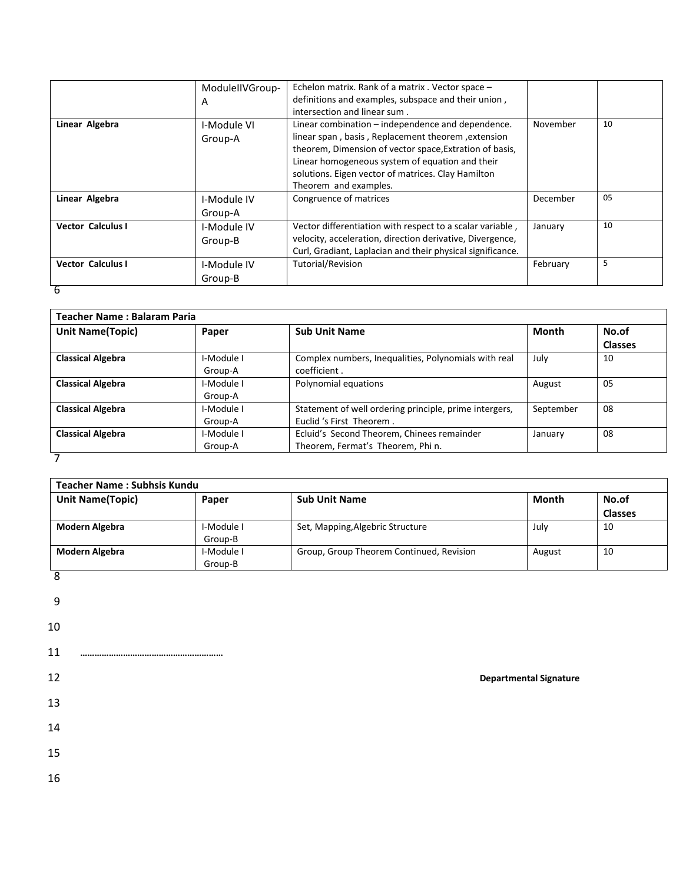|                          | ModuleIIVGroup-<br>A   | Echelon matrix. Rank of a matrix . Vector space -<br>definitions and examples, subspace and their union,<br>intersection and linear sum.                                                                                                                                                             |          |    |
|--------------------------|------------------------|------------------------------------------------------------------------------------------------------------------------------------------------------------------------------------------------------------------------------------------------------------------------------------------------------|----------|----|
| Linear Algebra           | I-Module VI<br>Group-A | Linear combination – independence and dependence.<br>linear span, basis, Replacement theorem, extension<br>theorem, Dimension of vector space, Extration of basis,<br>Linear homogeneous system of equation and their<br>solutions. Eigen vector of matrices. Clay Hamilton<br>Theorem and examples. | November | 10 |
| Linear Algebra           | I-Module IV<br>Group-A | Congruence of matrices                                                                                                                                                                                                                                                                               | December | 05 |
| <b>Vector Calculus I</b> | I-Module IV<br>Group-B | Vector differentiation with respect to a scalar variable,<br>velocity, acceleration, direction derivative, Divergence,<br>Curl, Gradiant, Laplacian and their physical significance.                                                                                                                 | January  | 10 |
| <b>Vector Calculus I</b> | I-Module IV<br>Group-B | Tutorial/Revision                                                                                                                                                                                                                                                                                    | February | 5  |
| 6                        |                        |                                                                                                                                                                                                                                                                                                      |          |    |

| Teacher Name: Balaram Paria |                       |                                                                                    |              |                         |
|-----------------------------|-----------------------|------------------------------------------------------------------------------------|--------------|-------------------------|
| <b>Unit Name(Topic)</b>     | Paper                 | <b>Sub Unit Name</b>                                                               | <b>Month</b> | No.of<br><b>Classes</b> |
| <b>Classical Algebra</b>    | I-Module I<br>Group-A | Complex numbers, Inequalities, Polynomials with real<br>coefficient.               | July         | 10                      |
| <b>Classical Algebra</b>    | I-Module I<br>Group-A | Polynomial equations                                                               | August       | 05                      |
| <b>Classical Algebra</b>    | I-Module I<br>Group-A | Statement of well ordering principle, prime intergers,<br>Euclid 's First Theorem. | September    | 08                      |
| <b>Classical Algebra</b>    | I-Module I<br>Group-A | Ecluid's Second Theorem, Chinees remainder<br>Theorem, Fermat's Theorem, Phi n.    | January      | 08                      |
|                             |                       |                                                                                    |              |                         |

|                         | <b>Teacher Name: Subhsis Kundu</b> |                                          |                               |                |
|-------------------------|------------------------------------|------------------------------------------|-------------------------------|----------------|
| <b>Unit Name(Topic)</b> | Paper                              | <b>Sub Unit Name</b>                     | Month                         | No.of          |
|                         |                                    |                                          |                               | <b>Classes</b> |
| <b>Modern Algebra</b>   | I-Module I                         | Set, Mapping, Algebric Structure         | July                          | 10             |
|                         | Group-B                            |                                          |                               |                |
| <b>Modern Algebra</b>   | I-Module I                         | Group, Group Theorem Continued, Revision | August                        | 10             |
| $\overline{8}$          | Group-B                            |                                          |                               |                |
| $9\,$<br>10<br>11       |                                    |                                          |                               |                |
| 12                      |                                    |                                          | <b>Departmental Signature</b> |                |
| 13                      |                                    |                                          |                               |                |
| 14<br>15                |                                    |                                          |                               |                |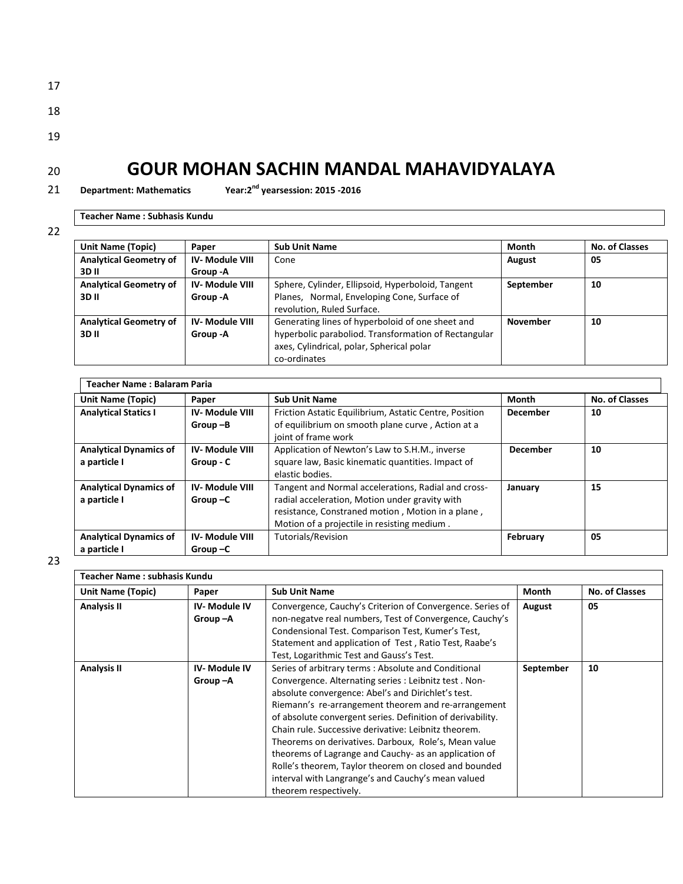| ۰.  |  |
|-----|--|
| . . |  |

- 18
- 19
- 

**Department: Mathematics Year:2nd** 21 **yearsession: 2015 -2016**

**Teacher Name : Subhasis Kundu** 

| ۰. | ۰. |
|----|----|
|    |    |

| <b>Unit Name (Topic)</b>               | Paper                             | <b>Sub Unit Name</b>                                                                                                                                                  | Month           | No. of Classes |
|----------------------------------------|-----------------------------------|-----------------------------------------------------------------------------------------------------------------------------------------------------------------------|-----------------|----------------|
| <b>Analytical Geometry of</b><br>3D II | <b>IV-Module VIII</b><br>Group -A | Cone                                                                                                                                                                  | August          | 05             |
| <b>Analytical Geometry of</b><br>3D II | <b>IV-Module VIII</b><br>Group -A | Sphere, Cylinder, Ellipsoid, Hyperboloid, Tangent<br>Planes, Normal, Enveloping Cone, Surface of<br>revolution, Ruled Surface.                                        | September       | 10             |
| <b>Analytical Geometry of</b><br>3D II | <b>IV-Module VIII</b><br>Group -A | Generating lines of hyperboloid of one sheet and<br>hyperbolic paraboliod. Transformation of Rectangular<br>axes, Cylindrical, polar, Spherical polar<br>co-ordinates | <b>November</b> | 10             |

| <b>Unit Name (Topic)</b>      | Paper                 | <b>Sub Unit Name</b>                                   | Month           | <b>No. of Classes</b> |
|-------------------------------|-----------------------|--------------------------------------------------------|-----------------|-----------------------|
| <b>Analytical Statics I</b>   | <b>IV-Module VIII</b> | Friction Astatic Equilibrium, Astatic Centre, Position | December        | 10                    |
|                               | $Group-B$             | of equilibrium on smooth plane curve, Action at a      |                 |                       |
|                               |                       | joint of frame work                                    |                 |                       |
| <b>Analytical Dynamics of</b> | <b>IV-Module VIII</b> | Application of Newton's Law to S.H.M., inverse         | <b>December</b> | 10                    |
| a particle I                  | Group - C             | square law, Basic kinematic quantities. Impact of      |                 |                       |
|                               |                       | elastic bodies.                                        |                 |                       |
| <b>Analytical Dynamics of</b> | <b>IV-Module VIII</b> | Tangent and Normal accelerations, Radial and cross-    | January         | 15                    |
| a particle I                  | $Group-C$             | radial acceleration, Motion under gravity with         |                 |                       |
|                               |                       | resistance, Constraned motion, Motion in a plane,      |                 |                       |
|                               |                       | Motion of a projectile in resisting medium.            |                 |                       |
| <b>Analytical Dynamics of</b> | <b>IV-Module VIII</b> | Tutorials/Revision                                     | February        | 05                    |
| a particle I                  | $Group -C$            |                                                        |                 |                       |

| <b>Teacher Name: subhasis Kundu</b> |                     |                                                            |           |                       |
|-------------------------------------|---------------------|------------------------------------------------------------|-----------|-----------------------|
| <b>Unit Name (Topic)</b>            | Paper               | <b>Sub Unit Name</b>                                       | Month     | <b>No. of Classes</b> |
| <b>Analysis II</b>                  | IV-Module IV        | Convergence, Cauchy's Criterion of Convergence. Series of  | August    | 05                    |
|                                     | $Group-A$           | non-negatve real numbers, Test of Convergence, Cauchy's    |           |                       |
|                                     |                     | Condensional Test. Comparison Test, Kumer's Test,          |           |                       |
|                                     |                     | Statement and application of Test, Ratio Test, Raabe's     |           |                       |
|                                     |                     | Test, Logarithmic Test and Gauss's Test.                   |           |                       |
| <b>Analysis II</b>                  | <b>IV-Module IV</b> | Series of arbitrary terms: Absolute and Conditional        | September | 10                    |
|                                     | Group-A             | Convergence. Alternating series : Leibnitz test. Non-      |           |                       |
|                                     |                     | absolute convergence: Abel's and Dirichlet's test.         |           |                       |
|                                     |                     | Riemann's re-arrangement theorem and re-arrangement        |           |                       |
|                                     |                     | of absolute convergent series. Definition of derivability. |           |                       |
|                                     |                     | Chain rule. Successive derivative: Leibnitz theorem.       |           |                       |
|                                     |                     | Theorems on derivatives. Darboux, Role's, Mean value       |           |                       |
|                                     |                     | theorems of Lagrange and Cauchy- as an application of      |           |                       |
|                                     |                     | Rolle's theorem, Taylor theorem on closed and bounded      |           |                       |
|                                     |                     | interval with Langrange's and Cauchy's mean valued         |           |                       |
|                                     |                     | theorem respectively.                                      |           |                       |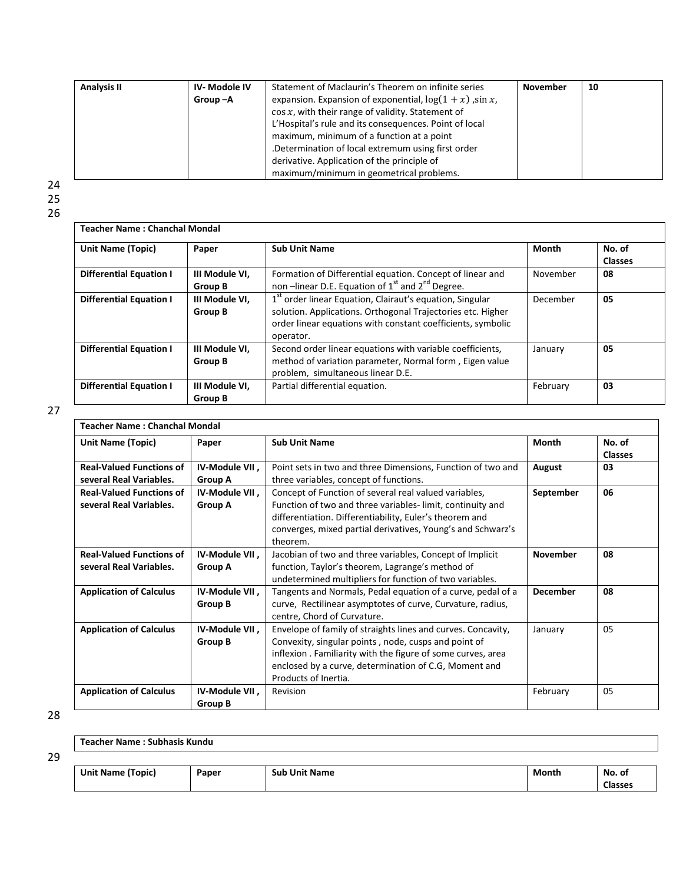| <b>Analysis II</b> | <b>IV-Modole IV</b> | Statement of Maclaurin's Theorem on infinite series         | <b>November</b> | 10 |
|--------------------|---------------------|-------------------------------------------------------------|-----------------|----|
|                    | Group-A             | expansion. Expansion of exponential, $\log(1 + x)$ , sin x, |                 |    |
|                    |                     | $\cos x$ , with their range of validity. Statement of       |                 |    |
|                    |                     | L'Hospital's rule and its consequences. Point of local      |                 |    |
|                    |                     | maximum, minimum of a function at a point                   |                 |    |
|                    |                     | .Determination of local extremum using first order          |                 |    |
|                    |                     | derivative. Application of the principle of                 |                 |    |
|                    |                     | maximum/minimum in geometrical problems.                    |                 |    |

24 25

26

| <b>Teacher Name: Chanchal Mondal</b> |                                  |                                                                                                                                                                                                                 |              |                          |
|--------------------------------------|----------------------------------|-----------------------------------------------------------------------------------------------------------------------------------------------------------------------------------------------------------------|--------------|--------------------------|
| <b>Unit Name (Topic)</b>             | Paper                            | <b>Sub Unit Name</b>                                                                                                                                                                                            | <b>Month</b> | No. of<br><b>Classes</b> |
| <b>Differential Equation I</b>       | III Module VI,<br>Group B        | Formation of Differential equation. Concept of linear and<br>non –linear D.E. Equation of 1 <sup>st</sup> and 2 <sup>nd</sup> Degree.                                                                           | November     | 08                       |
| <b>Differential Equation I</b>       | III Module VI.<br><b>Group B</b> | 1 <sup>st</sup> order linear Equation, Clairaut's equation, Singular<br>solution. Applications. Orthogonal Trajectories etc. Higher<br>order linear equations with constant coefficients, symbolic<br>operator. | December     | 05                       |
| <b>Differential Equation I</b>       | III Module VI,<br><b>Group B</b> | Second order linear equations with variable coefficients,<br>method of variation parameter, Normal form, Eigen value<br>problem, simultaneous linear D.E.                                                       | January      | 05                       |
| <b>Differential Equation I</b>       | III Module VI,<br>Group B        | Partial differential equation.                                                                                                                                                                                  | February     | 03                       |

27

| <b>Teacher Name: Chanchal Mondal</b>                       |                                  |                                                                                                                                                                                                                                                                      |                 |                          |
|------------------------------------------------------------|----------------------------------|----------------------------------------------------------------------------------------------------------------------------------------------------------------------------------------------------------------------------------------------------------------------|-----------------|--------------------------|
| Unit Name (Topic)                                          | Paper                            | <b>Sub Unit Name</b>                                                                                                                                                                                                                                                 | Month           | No. of<br><b>Classes</b> |
| <b>Real-Valued Functions of</b><br>several Real Variables. | IV-Module VII,<br>Group A        | Point sets in two and three Dimensions, Function of two and<br>three variables, concept of functions.                                                                                                                                                                | August          | 03                       |
| <b>Real-Valued Functions of</b><br>several Real Variables. | IV-Module VII,<br><b>Group A</b> | Concept of Function of several real valued variables,<br>Function of two and three variables-limit, continuity and<br>differentiation. Differentiability, Euler's theorem and<br>converges, mixed partial derivatives, Young's and Schwarz's<br>theorem.             | September       | 06                       |
| <b>Real-Valued Functions of</b><br>several Real Variables. | IV-Module VII,<br>Group A        | Jacobian of two and three variables, Concept of Implicit<br>function, Taylor's theorem, Lagrange's method of<br>undetermined multipliers for function of two variables.                                                                                              | <b>November</b> | 08                       |
| <b>Application of Calculus</b>                             | IV-Module VII,<br><b>Group B</b> | Tangents and Normals, Pedal equation of a curve, pedal of a<br>curve, Rectilinear asymptotes of curve, Curvature, radius,<br>centre, Chord of Curvature.                                                                                                             | <b>December</b> | 08                       |
| <b>Application of Calculus</b>                             | IV-Module VII,<br><b>Group B</b> | Envelope of family of straights lines and curves. Concavity,<br>Convexity, singular points, node, cusps and point of<br>inflexion. Familiarity with the figure of some curves, area<br>enclosed by a curve, determination of C.G, Moment and<br>Products of Inertia. | January         | 05                       |
| <b>Application of Calculus</b>                             | IV-Module VII,<br>Group B        | Revision                                                                                                                                                                                                                                                             | February        | 05                       |

28

| Teacher Name: Subhasis Kundu |       |                      |       |                |
|------------------------------|-------|----------------------|-------|----------------|
|                              |       |                      |       |                |
| Unit Name (Topic)            | Paper | <b>Sub Unit Name</b> | Month | No. of         |
|                              |       |                      |       | <b>Classes</b> |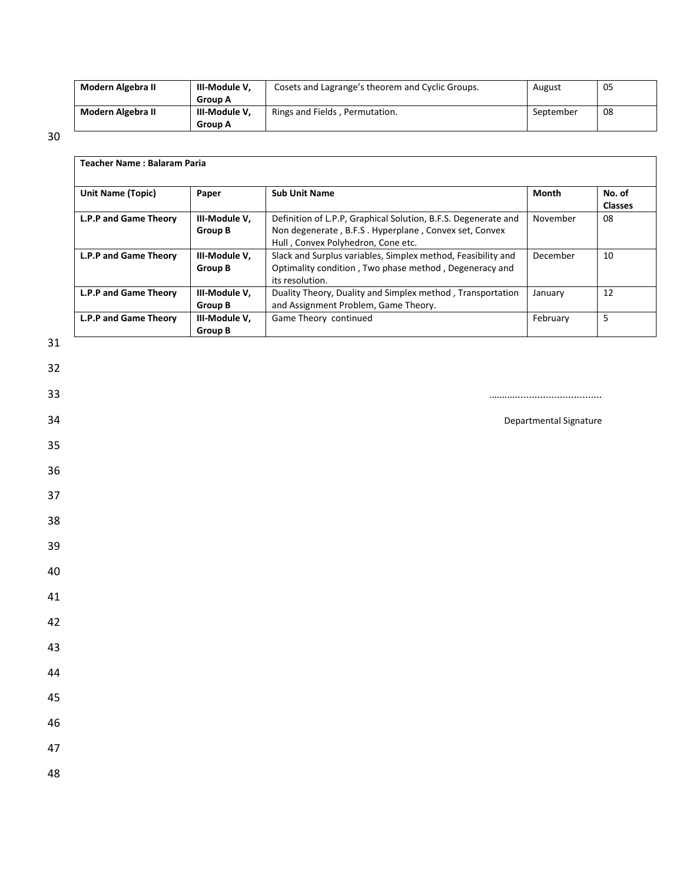| Modern Algebra II | III-Module V.  | Cosets and Lagrange's theorem and Cyclic Groups. | August    | 05 |
|-------------------|----------------|--------------------------------------------------|-----------|----|
|                   | <b>Group A</b> |                                                  |           |    |
| Modern Algebra II | III-Module V.  | Rings and Fields, Permutation.                   | September | 08 |
|                   | <b>Group A</b> |                                                  |           |    |

30

| <b>Unit Name (Topic)</b> | Paper                    | <b>Sub Unit Name</b>                                                                                                                                          | <b>Month</b>           | No. of<br><b>Classes</b> |
|--------------------------|--------------------------|---------------------------------------------------------------------------------------------------------------------------------------------------------------|------------------------|--------------------------|
| L.P.P and Game Theory    | III-Module V,<br>Group B | Definition of L.P.P, Graphical Solution, B.F.S. Degenerate and<br>Non degenerate, B.F.S. Hyperplane, Convex set, Convex<br>Hull, Convex Polyhedron, Cone etc. | November               | 08                       |
| L.P.P and Game Theory    | III-Module V,<br>Group B | Slack and Surplus variables, Simplex method, Feasibility and<br>Optimality condition, Two phase method, Degeneracy and<br>its resolution.                     | December               | 10                       |
| L.P.P and Game Theory    | III-Module V,<br>Group B | Duality Theory, Duality and Simplex method, Transportation<br>and Assignment Problem, Game Theory.                                                            | January                | 12                       |
| L.P.P and Game Theory    | III-Module V,<br>Group B | Game Theory continued                                                                                                                                         | February               | 5                        |
|                          |                          |                                                                                                                                                               |                        |                          |
|                          |                          |                                                                                                                                                               | Departmental Signature |                          |
|                          |                          |                                                                                                                                                               |                        |                          |
|                          |                          |                                                                                                                                                               |                        |                          |

31

32

35

36

37

38

39

40

41

42

43

44

45

46

47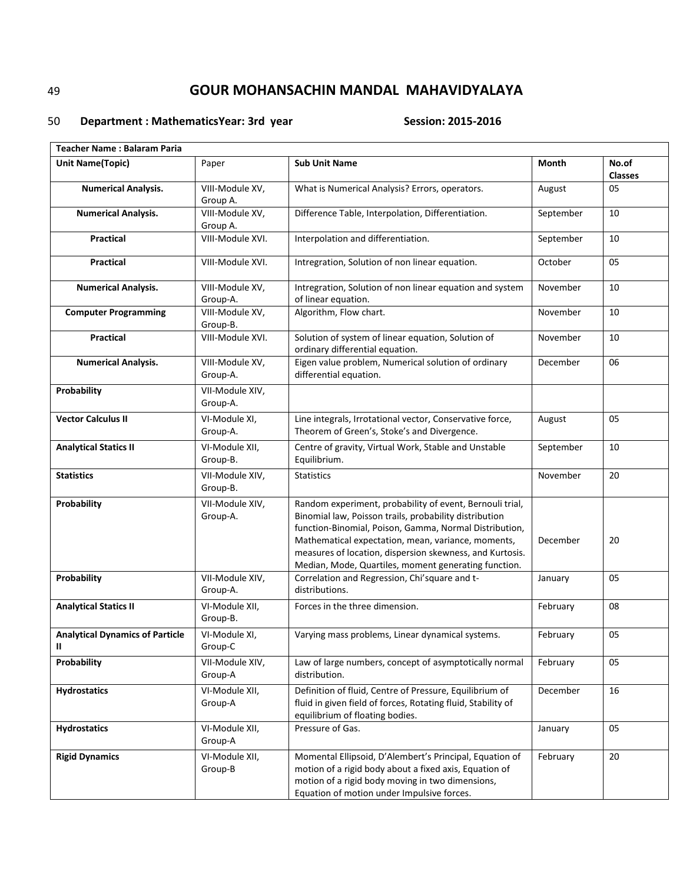### 50 **Department : Mathematics Year: 3rd year** Session: 2015-2016

| <b>Teacher Name: Balaram Paria</b>          |                             |                                                                                                                                                                                                                                                                                                                                                        |           |                         |
|---------------------------------------------|-----------------------------|--------------------------------------------------------------------------------------------------------------------------------------------------------------------------------------------------------------------------------------------------------------------------------------------------------------------------------------------------------|-----------|-------------------------|
| <b>Unit Name(Topic)</b>                     | Paper                       | <b>Sub Unit Name</b>                                                                                                                                                                                                                                                                                                                                   | Month     | No.of<br><b>Classes</b> |
| <b>Numerical Analysis.</b>                  | VIII-Module XV,<br>Group A. | What is Numerical Analysis? Errors, operators.                                                                                                                                                                                                                                                                                                         | August    | 05                      |
| <b>Numerical Analysis.</b>                  | VIII-Module XV,<br>Group A. | Difference Table, Interpolation, Differentiation.                                                                                                                                                                                                                                                                                                      | September | 10                      |
| <b>Practical</b>                            | VIII-Module XVI.            | Interpolation and differentiation.                                                                                                                                                                                                                                                                                                                     | September | 10                      |
| <b>Practical</b>                            | VIII-Module XVI.            | Intregration, Solution of non linear equation.                                                                                                                                                                                                                                                                                                         | October   | 05                      |
| <b>Numerical Analysis.</b>                  | VIII-Module XV,<br>Group-A. | Intregration, Solution of non linear equation and system<br>of linear equation.                                                                                                                                                                                                                                                                        | November  | 10                      |
| <b>Computer Programming</b>                 | VIII-Module XV,<br>Group-B. | Algorithm, Flow chart.                                                                                                                                                                                                                                                                                                                                 | November  | 10                      |
| <b>Practical</b>                            | VIII-Module XVI.            | Solution of system of linear equation, Solution of<br>ordinary differential equation.                                                                                                                                                                                                                                                                  | November  | 10                      |
| <b>Numerical Analysis.</b>                  | VIII-Module XV,<br>Group-A. | Eigen value problem, Numerical solution of ordinary<br>differential equation.                                                                                                                                                                                                                                                                          | December  | 06                      |
| Probability                                 | VII-Module XIV,<br>Group-A. |                                                                                                                                                                                                                                                                                                                                                        |           |                         |
| <b>Vector Calculus II</b>                   | VI-Module XI,<br>Group-A.   | Line integrals, Irrotational vector, Conservative force,<br>Theorem of Green's, Stoke's and Divergence.                                                                                                                                                                                                                                                | August    | 05                      |
| <b>Analytical Statics II</b>                | VI-Module XII,<br>Group-B.  | Centre of gravity, Virtual Work, Stable and Unstable<br>Equilibrium.                                                                                                                                                                                                                                                                                   | September | 10                      |
| <b>Statistics</b>                           | VII-Module XIV,<br>Group-B. | <b>Statistics</b>                                                                                                                                                                                                                                                                                                                                      | November  | 20                      |
| Probability                                 | VII-Module XIV,<br>Group-A. | Random experiment, probability of event, Bernouli trial,<br>Binomial law, Poisson trails, probability distribution<br>function-Binomial, Poison, Gamma, Normal Distribution,<br>Mathematical expectation, mean, variance, moments,<br>measures of location, dispersion skewness, and Kurtosis.<br>Median, Mode, Quartiles, moment generating function. | December  | 20                      |
| Probability                                 | VII-Module XIV,<br>Group-A. | Correlation and Regression, Chi'square and t-<br>distributions.                                                                                                                                                                                                                                                                                        | January   | 05                      |
| <b>Analytical Statics II</b>                | VI-Module XII,<br>Group-B.  | Forces in the three dimension.                                                                                                                                                                                                                                                                                                                         | February  | 08                      |
| <b>Analytical Dynamics of Particle</b><br>Ш | VI-Module XI,<br>Group-C    | Varying mass problems, Linear dynamical systems.                                                                                                                                                                                                                                                                                                       | February  | 05                      |
| Probability                                 | VII-Module XIV,<br>Group-A  | Law of large numbers, concept of asymptotically normal<br>distribution.                                                                                                                                                                                                                                                                                | February  | 05                      |
| <b>Hydrostatics</b>                         | VI-Module XII,<br>Group-A   | Definition of fluid, Centre of Pressure, Equilibrium of<br>fluid in given field of forces, Rotating fluid, Stability of<br>equilibrium of floating bodies.                                                                                                                                                                                             | December  | 16                      |
| <b>Hydrostatics</b>                         | VI-Module XII,<br>Group-A   | Pressure of Gas.                                                                                                                                                                                                                                                                                                                                       | January   | 05                      |
| <b>Rigid Dynamics</b>                       | VI-Module XII,<br>Group-B   | Momental Ellipsoid, D'Alembert's Principal, Equation of<br>motion of a rigid body about a fixed axis, Equation of<br>motion of a rigid body moving in two dimensions,<br>Equation of motion under Impulsive forces.                                                                                                                                    | February  | 20                      |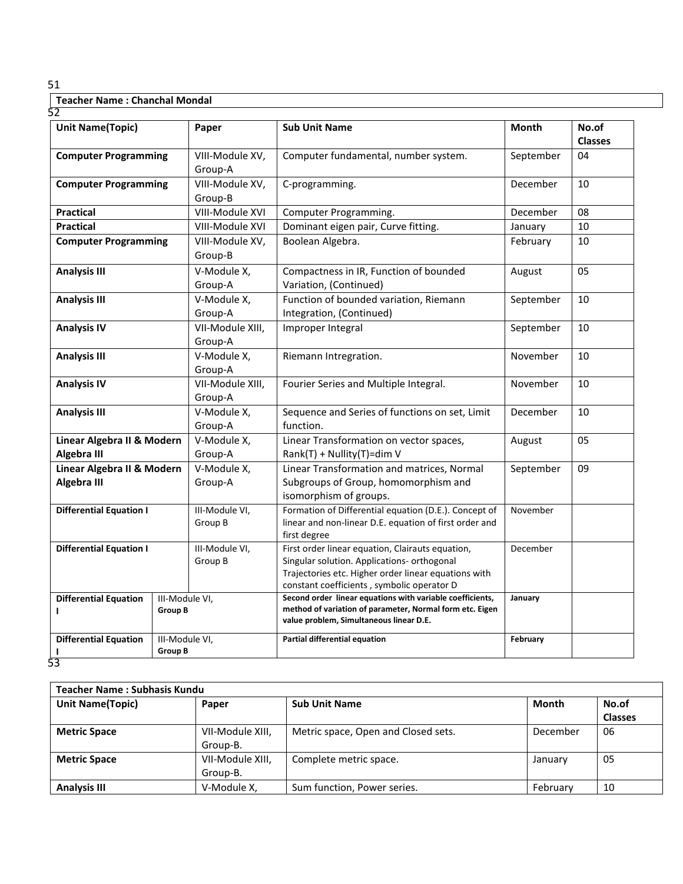| <b>Unit Name(Topic)</b>                   |                                  | Paper                       | <b>Sub Unit Name</b>                                                                                                                                                                                  | <b>Month</b> | No.of<br><b>Classes</b> |
|-------------------------------------------|----------------------------------|-----------------------------|-------------------------------------------------------------------------------------------------------------------------------------------------------------------------------------------------------|--------------|-------------------------|
| <b>Computer Programming</b>               |                                  | VIII-Module XV,<br>Group-A  | Computer fundamental, number system.                                                                                                                                                                  | September    | 04                      |
| <b>Computer Programming</b>               |                                  | VIII-Module XV,<br>Group-B  | C-programming.                                                                                                                                                                                        | December     | 10                      |
| <b>Practical</b>                          |                                  | VIII-Module XVI             | Computer Programming.                                                                                                                                                                                 | December     | 08                      |
| <b>Practical</b>                          |                                  | VIII-Module XVI             | Dominant eigen pair, Curve fitting.                                                                                                                                                                   | January      | 10                      |
| <b>Computer Programming</b>               |                                  | VIII-Module XV,<br>Group-B  | Boolean Algebra.                                                                                                                                                                                      | February     | 10                      |
| <b>Analysis III</b>                       |                                  | V-Module X,<br>Group-A      | Compactness in IR, Function of bounded<br>Variation, (Continued)                                                                                                                                      | August       | 05                      |
| <b>Analysis III</b>                       |                                  | V-Module X,<br>Group-A      | Function of bounded variation, Riemann<br>Integration, (Continued)                                                                                                                                    | September    | 10                      |
| <b>Analysis IV</b>                        |                                  | VII-Module XIII,<br>Group-A | Improper Integral                                                                                                                                                                                     | September    | 10                      |
| <b>Analysis III</b>                       |                                  | V-Module X,<br>Group-A      | Riemann Intregration.                                                                                                                                                                                 | November     | 10                      |
| <b>Analysis IV</b>                        |                                  | VII-Module XIII,<br>Group-A | Fourier Series and Multiple Integral.                                                                                                                                                                 | November     | 10                      |
| <b>Analysis III</b>                       |                                  | V-Module X,<br>Group-A      | Sequence and Series of functions on set, Limit<br>function.                                                                                                                                           | December     | 10                      |
| Linear Algebra II & Modern<br>Algebra III |                                  | V-Module X,<br>Group-A      | Linear Transformation on vector spaces,<br>Rank(T) + Nullity(T)=dim V                                                                                                                                 | August       | 05                      |
| Linear Algebra II & Modern<br>Algebra III |                                  | V-Module X,<br>Group-A      | Linear Transformation and matrices, Normal<br>Subgroups of Group, homomorphism and<br>isomorphism of groups.                                                                                          | September    | 09                      |
| <b>Differential Equation I</b>            |                                  | III-Module VI,<br>Group B   | Formation of Differential equation (D.E.). Concept of<br>linear and non-linear D.E. equation of first order and<br>first degree                                                                       | November     |                         |
| <b>Differential Equation I</b>            |                                  | III-Module VI,<br>Group B   | First order linear equation, Clairauts equation,<br>Singular solution. Applications- orthogonal<br>Trajectories etc. Higher order linear equations with<br>constant coefficients, symbolic operator D | December     |                         |
| <b>Differential Equation</b><br>L         | III-Module VI,<br><b>Group B</b> |                             | Second order linear equations with variable coefficients,<br>method of variation of parameter, Normal form etc. Eigen<br>value problem, Simultaneous linear D.E.                                      | January      |                         |
| <b>Differential Equation</b>              | III-Module VI,<br><b>Group B</b> |                             | Partial differential equation                                                                                                                                                                         | February     |                         |

| Teacher Name: Subhasis Kundu |                  |                                     |          |                |
|------------------------------|------------------|-------------------------------------|----------|----------------|
| <b>Unit Name(Topic)</b>      | Paper            | <b>Sub Unit Name</b>                | Month    | No.of          |
|                              |                  |                                     |          | <b>Classes</b> |
| <b>Metric Space</b>          | VII-Module XIII, | Metric space, Open and Closed sets. | December | 06             |
|                              | Group-B.         |                                     |          |                |
| <b>Metric Space</b>          | VII-Module XIII, | Complete metric space.              | January  | 05             |
|                              | Group-B.         |                                     |          |                |
| <b>Analysis III</b>          | V-Module X,      | Sum function, Power series.         | February | 10             |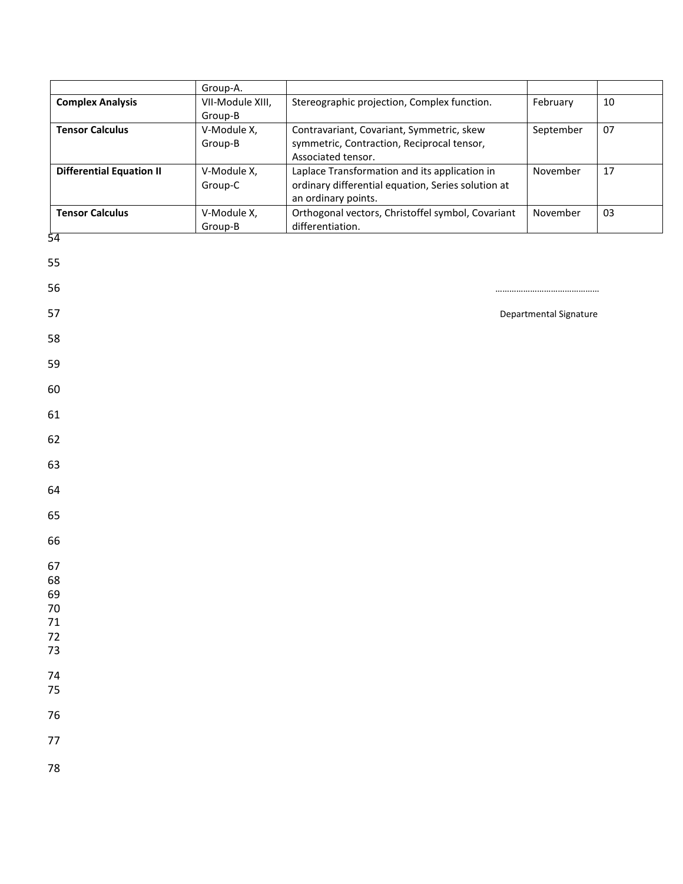|                                 | Group-A.               |                                                                                                                            |                        |    |
|---------------------------------|------------------------|----------------------------------------------------------------------------------------------------------------------------|------------------------|----|
| <b>Complex Analysis</b>         | VII-Module XIII,       | Stereographic projection, Complex function.                                                                                | February               | 10 |
|                                 | Group-B                |                                                                                                                            |                        |    |
| <b>Tensor Calculus</b>          | V-Module X,<br>Group-B | Contravariant, Covariant, Symmetric, skew<br>symmetric, Contraction, Reciprocal tensor,<br>Associated tensor.              | September              | 07 |
| <b>Differential Equation II</b> | V-Module X,<br>Group-C | Laplace Transformation and its application in<br>ordinary differential equation, Series solution at<br>an ordinary points. | November               | 17 |
| <b>Tensor Calculus</b>          | V-Module X,<br>Group-B | Orthogonal vectors, Christoffel symbol, Covariant<br>differentiation.                                                      | November               | 03 |
| 54                              |                        |                                                                                                                            |                        |    |
| 55                              |                        |                                                                                                                            |                        |    |
| 56                              |                        |                                                                                                                            |                        |    |
| 57                              |                        |                                                                                                                            | Departmental Signature |    |
| 58                              |                        |                                                                                                                            |                        |    |
| 59                              |                        |                                                                                                                            |                        |    |
| 60                              |                        |                                                                                                                            |                        |    |
| 61                              |                        |                                                                                                                            |                        |    |
| 62                              |                        |                                                                                                                            |                        |    |
| 63                              |                        |                                                                                                                            |                        |    |
| 64                              |                        |                                                                                                                            |                        |    |
| 65                              |                        |                                                                                                                            |                        |    |
| 66                              |                        |                                                                                                                            |                        |    |
| 67<br>68<br>69<br>70            |                        |                                                                                                                            |                        |    |
| 71                              |                        |                                                                                                                            |                        |    |
| 72                              |                        |                                                                                                                            |                        |    |
| 73                              |                        |                                                                                                                            |                        |    |
| 74                              |                        |                                                                                                                            |                        |    |
| 75                              |                        |                                                                                                                            |                        |    |
| 76                              |                        |                                                                                                                            |                        |    |
| 77                              |                        |                                                                                                                            |                        |    |
| 78                              |                        |                                                                                                                            |                        |    |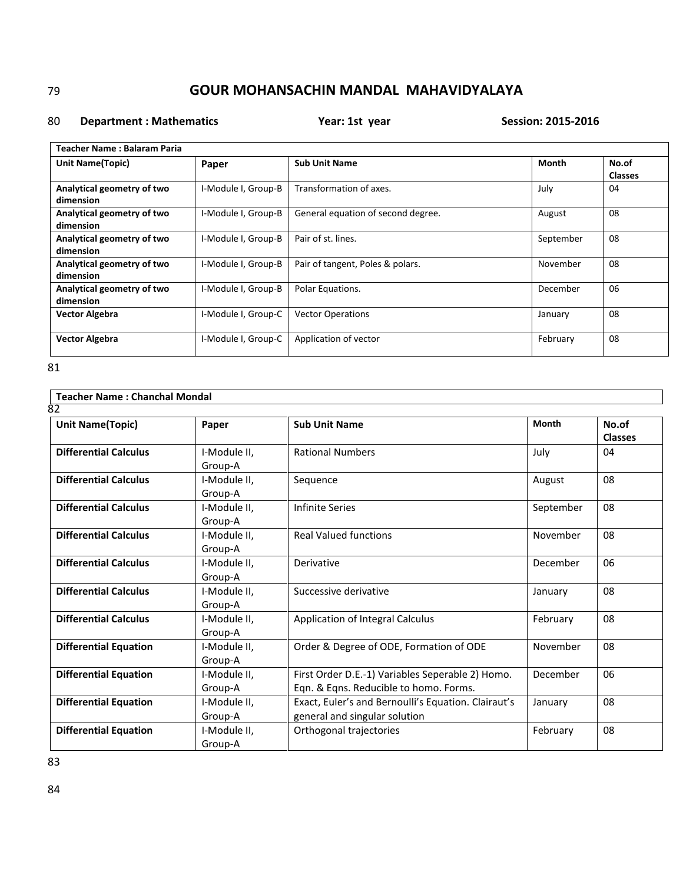### 80 **Department : Mathematics Year: 1st year Session: 2015-2016**

| Teacher Name : Balaram Paria |                     |                                    |           |                |
|------------------------------|---------------------|------------------------------------|-----------|----------------|
| Unit Name(Topic)             | Paper               | <b>Sub Unit Name</b>               | Month     | No.of          |
|                              |                     |                                    |           | <b>Classes</b> |
| Analytical geometry of two   | I-Module I, Group-B | Transformation of axes.            | July      | 04             |
| dimension                    |                     |                                    |           |                |
| Analytical geometry of two   | I-Module I, Group-B | General equation of second degree. | August    | 08             |
| dimension                    |                     |                                    |           |                |
| Analytical geometry of two   | I-Module I, Group-B | Pair of st. lines.                 | September | 08             |
| dimension                    |                     |                                    |           |                |
| Analytical geometry of two   | I-Module I, Group-B | Pair of tangent, Poles & polars.   | November  | 08             |
| dimension                    |                     |                                    |           |                |
| Analytical geometry of two   | I-Module I, Group-B | Polar Equations.                   | December  | 06             |
| dimension                    |                     |                                    |           |                |
| <b>Vector Algebra</b>        | I-Module I, Group-C | <b>Vector Operations</b>           | January   | 08             |
|                              |                     |                                    |           |                |
| <b>Vector Algebra</b>        | I-Module I, Group-C | Application of vector              | February  | 08             |
|                              |                     |                                    |           |                |

81

| <b>Teacher Name: Chanchal Mondal</b> |              |                                                     |              |                |
|--------------------------------------|--------------|-----------------------------------------------------|--------------|----------------|
| 82                                   |              |                                                     |              |                |
| <b>Unit Name(Topic)</b>              | Paper        | <b>Sub Unit Name</b>                                | <b>Month</b> | No.of          |
|                                      |              |                                                     |              | <b>Classes</b> |
| <b>Differential Calculus</b>         | I-Module II, | <b>Rational Numbers</b>                             | July         | 04             |
|                                      | Group-A      |                                                     |              |                |
| <b>Differential Calculus</b>         | I-Module II, | Sequence                                            | August       | 08             |
|                                      | Group-A      |                                                     |              |                |
| <b>Differential Calculus</b>         | I-Module II, | <b>Infinite Series</b>                              | September    | 08             |
|                                      | Group-A      |                                                     |              |                |
| <b>Differential Calculus</b>         | I-Module II, | <b>Real Valued functions</b>                        | November     | 08             |
|                                      | Group-A      |                                                     |              |                |
| <b>Differential Calculus</b>         | I-Module II, | Derivative                                          | December     | 06             |
|                                      | Group-A      |                                                     |              |                |
| <b>Differential Calculus</b>         | I-Module II, | Successive derivative                               | January      | 08             |
|                                      | Group-A      |                                                     |              |                |
| <b>Differential Calculus</b>         | I-Module II, | Application of Integral Calculus                    | February     | 08             |
|                                      | Group-A      |                                                     |              |                |
| <b>Differential Equation</b>         | I-Module II, | Order & Degree of ODE, Formation of ODE             | November     | 08             |
|                                      | Group-A      |                                                     |              |                |
| <b>Differential Equation</b>         | I-Module II, | First Order D.E.-1) Variables Seperable 2) Homo.    | December     | 06             |
|                                      | Group-A      | Eqn. & Eqns. Reducible to homo. Forms.              |              |                |
| <b>Differential Equation</b>         | I-Module II. | Exact, Euler's and Bernoulli's Equation. Clairaut's | January      | 08             |
|                                      | Group-A      | general and singular solution                       |              |                |
| <b>Differential Equation</b>         | I-Module II, | Orthogonal trajectories                             | February     | 08             |
|                                      | Group-A      |                                                     |              |                |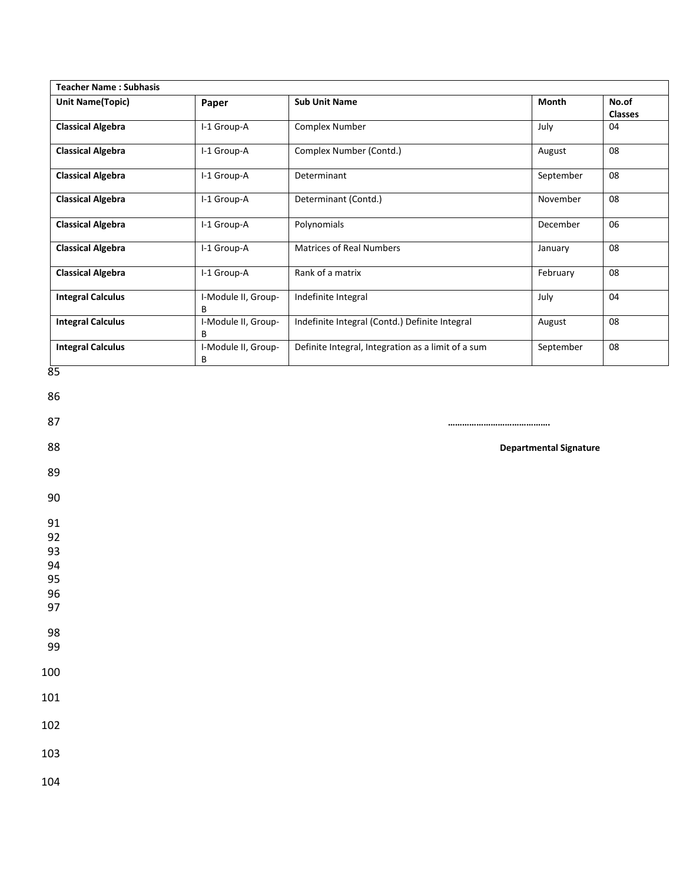| <b>Teacher Name: Subhasis</b> |                          |                                                    |           |                         |
|-------------------------------|--------------------------|----------------------------------------------------|-----------|-------------------------|
| <b>Unit Name(Topic)</b>       | Paper                    | <b>Sub Unit Name</b>                               | Month     | No.of<br><b>Classes</b> |
| <b>Classical Algebra</b>      | I-1 Group-A              | Complex Number                                     | July      | 04                      |
| <b>Classical Algebra</b>      | I-1 Group-A              | Complex Number (Contd.)                            | August    | 08                      |
| <b>Classical Algebra</b>      | I-1 Group-A              | Determinant                                        | September | 08                      |
| <b>Classical Algebra</b>      | I-1 Group-A              | Determinant (Contd.)                               | November  | 08                      |
| <b>Classical Algebra</b>      | I-1 Group-A              | Polynomials                                        | December  | 06                      |
| <b>Classical Algebra</b>      | I-1 Group-A              | Matrices of Real Numbers                           | January   | 08                      |
| <b>Classical Algebra</b>      | I-1 Group-A              | Rank of a matrix                                   | February  | 08                      |
| <b>Integral Calculus</b>      | I-Module II, Group-<br>В | Indefinite Integral                                | July      | 04                      |
| <b>Integral Calculus</b>      | I-Module II, Group-<br>B | Indefinite Integral (Contd.) Definite Integral     | August    | 08                      |
| <b>Integral Calculus</b>      | I-Module II, Group-<br>В | Definite Integral, Integration as a limit of a sum | September | 08                      |
|                               |                          |                                                    |           |                         |
| 89                            |                          |                                                    |           |                         |
| 90                            |                          |                                                    |           |                         |
| 91                            |                          |                                                    |           |                         |
|                               |                          |                                                    |           |                         |
| 92                            |                          |                                                    |           |                         |
| 93<br>94                      |                          |                                                    |           |                         |
| 95                            |                          |                                                    |           |                         |
| 96                            |                          |                                                    |           |                         |
| 97<br>98                      |                          |                                                    |           |                         |
| 99                            |                          |                                                    |           |                         |
| 100                           |                          |                                                    |           |                         |
|                               |                          |                                                    |           |                         |
| 101<br>102                    |                          |                                                    |           |                         |
| 103                           |                          |                                                    |           |                         |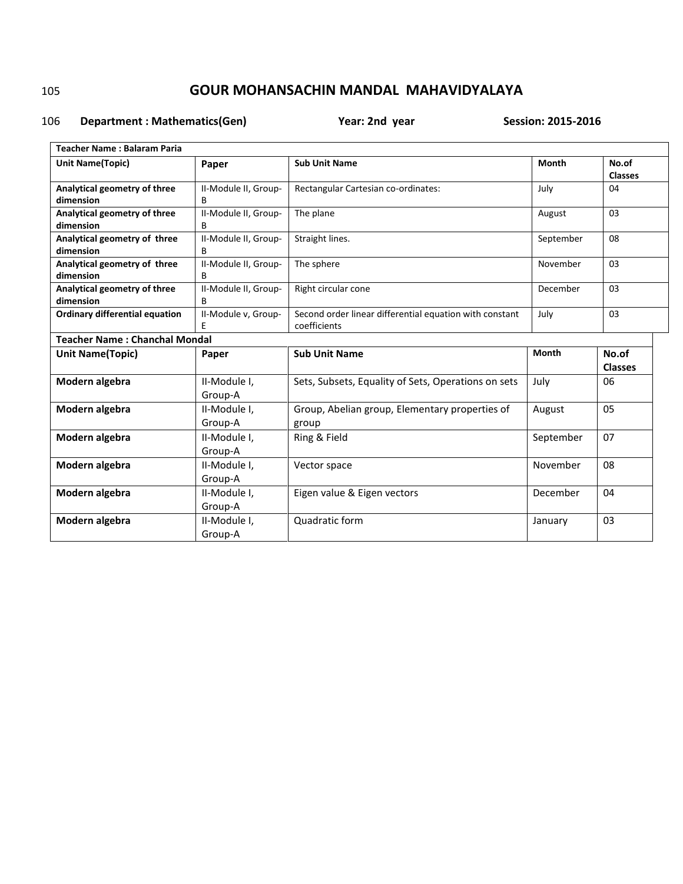### 106 **Department : Mathematics(Gen)** Year: 2nd year Session: 2015-2016

| <b>Teacher Name: Balaram Paria</b>    |                         |                                                         |              |                |  |  |
|---------------------------------------|-------------------------|---------------------------------------------------------|--------------|----------------|--|--|
| <b>Unit Name(Topic)</b>               | Paper                   | <b>Sub Unit Name</b>                                    | <b>Month</b> | No.of          |  |  |
|                                       |                         |                                                         |              | <b>Classes</b> |  |  |
| Analytical geometry of three          | II-Module II, Group-    | Rectangular Cartesian co-ordinates:                     | July         | 04             |  |  |
| dimension                             | B                       |                                                         |              |                |  |  |
| Analytical geometry of three          | II-Module II, Group-    | The plane                                               | August       | 03             |  |  |
| dimension                             | В                       |                                                         |              |                |  |  |
| Analytical geometry of three          | II-Module II, Group-    | Straight lines.                                         | September    | 08             |  |  |
| dimension                             | В                       |                                                         |              |                |  |  |
| Analytical geometry of three          | II-Module II, Group-    | The sphere                                              | November     | 03             |  |  |
| dimension                             | B                       |                                                         |              |                |  |  |
| Analytical geometry of three          | II-Module II, Group-    | Right circular cone                                     | December     | 03             |  |  |
| dimension                             | B                       |                                                         |              |                |  |  |
| <b>Ordinary differential equation</b> | II-Module v, Group-     | Second order linear differential equation with constant | July         | 03             |  |  |
|                                       | E                       | coefficients                                            |              |                |  |  |
| <b>Teacher Name: Chanchal Mondal</b>  |                         |                                                         |              |                |  |  |
|                                       |                         |                                                         |              |                |  |  |
| <b>Unit Name(Topic)</b>               | Paper                   | <b>Sub Unit Name</b>                                    | <b>Month</b> | No.of          |  |  |
|                                       |                         |                                                         |              | <b>Classes</b> |  |  |
| Modern algebra                        | II-Module I,            | Sets, Subsets, Equality of Sets, Operations on sets     | July         | 06             |  |  |
|                                       | Group-A                 |                                                         |              |                |  |  |
|                                       | II-Module I,            |                                                         |              | 05             |  |  |
| Modern algebra                        | Group-A                 | Group, Abelian group, Elementary properties of          | August       |                |  |  |
| Modern algebra                        | II-Module I,            | group<br>Ring & Field                                   | September    | 07             |  |  |
|                                       | Group-A                 |                                                         |              |                |  |  |
|                                       |                         |                                                         | November     | 08             |  |  |
| Modern algebra                        | II-Module I,<br>Group-A | Vector space                                            |              |                |  |  |
|                                       |                         |                                                         | December     | 04             |  |  |
| Modern algebra                        | II-Module I,            | Eigen value & Eigen vectors                             |              |                |  |  |
|                                       | Group-A                 |                                                         |              |                |  |  |
| Modern algebra                        | II-Module I,<br>Group-A | Quadratic form                                          | January      | 03             |  |  |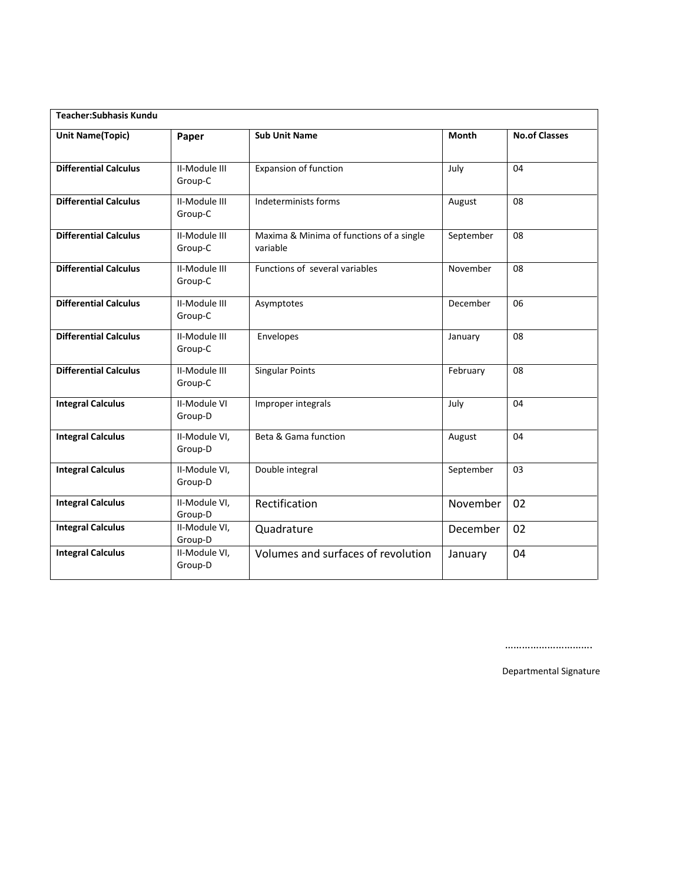| <b>Teacher:Subhasis Kundu</b> |                                |                                                      |              |                      |  |
|-------------------------------|--------------------------------|------------------------------------------------------|--------------|----------------------|--|
| <b>Unit Name(Topic)</b>       | Paper                          | <b>Sub Unit Name</b>                                 | <b>Month</b> | <b>No.of Classes</b> |  |
| <b>Differential Calculus</b>  | II-Module III<br>Group-C       | <b>Expansion of function</b>                         | July         | 04                   |  |
| <b>Differential Calculus</b>  | II-Module III<br>Group-C       | Indeterminists forms                                 | August       | 08                   |  |
| <b>Differential Calculus</b>  | II-Module III<br>Group-C       | Maxima & Minima of functions of a single<br>variable | September    | 08                   |  |
| <b>Differential Calculus</b>  | II-Module III<br>Group-C       | Functions of several variables                       | November     | 08                   |  |
| <b>Differential Calculus</b>  | II-Module III<br>Group-C       | Asymptotes                                           | December     | 06                   |  |
| <b>Differential Calculus</b>  | II-Module III<br>Group-C       | Envelopes                                            | January      | 08                   |  |
| <b>Differential Calculus</b>  | II-Module III<br>Group-C       | <b>Singular Points</b>                               | February     | 08                   |  |
| <b>Integral Calculus</b>      | <b>II-Module VI</b><br>Group-D | Improper integrals                                   | July         | 04                   |  |
| <b>Integral Calculus</b>      | II-Module VI,<br>Group-D       | Beta & Gama function                                 | August       | 04                   |  |
| <b>Integral Calculus</b>      | II-Module VI,<br>Group-D       | Double integral                                      | September    | 03                   |  |
| <b>Integral Calculus</b>      | II-Module VI,<br>Group-D       | Rectification                                        | November     | 02                   |  |
| <b>Integral Calculus</b>      | II-Module VI,<br>Group-D       | Quadrature                                           | December     | 02                   |  |
| <b>Integral Calculus</b>      | II-Module VI,<br>Group-D       | Volumes and surfaces of revolution                   | January      | 04                   |  |

………………………….

Departmental Signature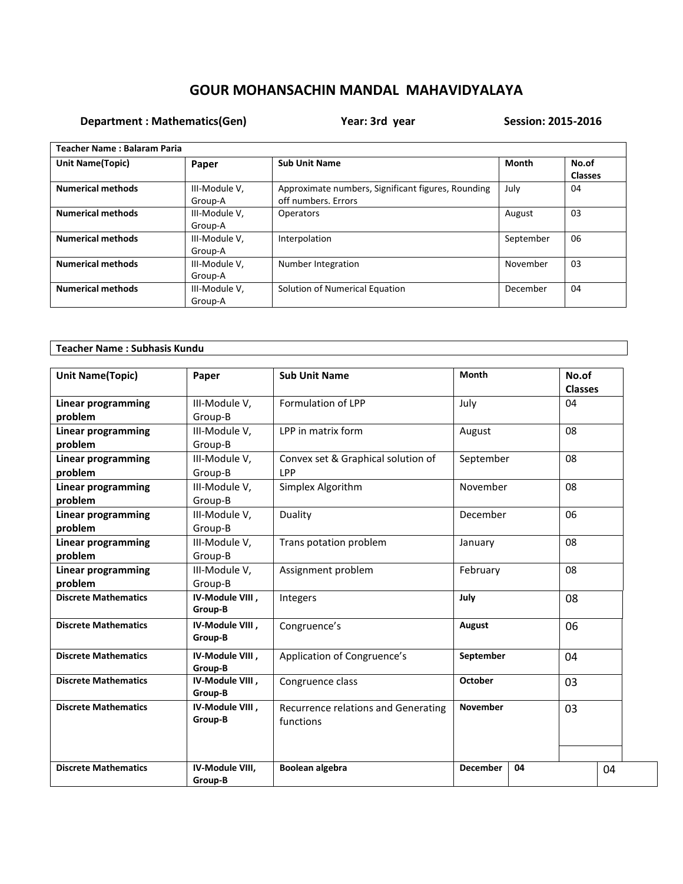## **Department : Mathematics(Gen)** Year: 3rd year Session: 2015-2016

| Teacher Name: Balaram Paria |                          |                                                                           |              |                         |  |
|-----------------------------|--------------------------|---------------------------------------------------------------------------|--------------|-------------------------|--|
| <b>Unit Name(Topic)</b>     | Paper                    | <b>Sub Unit Name</b>                                                      | <b>Month</b> | No.of<br><b>Classes</b> |  |
| <b>Numerical methods</b>    | III-Module V,<br>Group-A | Approximate numbers, Significant figures, Rounding<br>off numbers. Errors | July         | 04                      |  |
| <b>Numerical methods</b>    | III-Module V,<br>Group-A | Operators                                                                 | August       | 03                      |  |
| <b>Numerical methods</b>    | III-Module V,<br>Group-A | Interpolation                                                             | September    | 06                      |  |
| <b>Numerical methods</b>    | III-Module V,<br>Group-A | Number Integration                                                        | November     | 03                      |  |
| <b>Numerical methods</b>    | III-Module V,<br>Group-A | Solution of Numerical Equation                                            | December     | 04                      |  |

| <b>Teacher Name: Subhasis Kundu</b> |                            |                                                  |                 |    |                         |    |
|-------------------------------------|----------------------------|--------------------------------------------------|-----------------|----|-------------------------|----|
| <b>Unit Name(Topic)</b>             | Paper                      | <b>Sub Unit Name</b>                             | Month           |    | No.of<br><b>Classes</b> |    |
| <b>Linear programming</b>           | III-Module V,              | Formulation of LPP                               | July            |    | 04                      |    |
| problem                             | Group-B                    |                                                  |                 |    |                         |    |
| <b>Linear programming</b>           | III-Module V,              | LPP in matrix form                               | August          |    | 08                      |    |
| problem                             | Group-B                    |                                                  |                 |    |                         |    |
| <b>Linear programming</b>           | III-Module V,              | Convex set & Graphical solution of               | September       |    | 08                      |    |
| problem                             | Group-B                    | LPP                                              |                 |    |                         |    |
| <b>Linear programming</b>           | III-Module V,              | Simplex Algorithm                                | November        |    | 08                      |    |
| problem                             | Group-B                    |                                                  |                 |    |                         |    |
| <b>Linear programming</b>           | III-Module V,              | Duality                                          | December        |    | 06                      |    |
| problem                             | Group-B                    |                                                  |                 |    |                         |    |
| <b>Linear programming</b>           | III-Module V,              | Trans potation problem                           | January         |    | 08                      |    |
| problem                             | Group-B                    |                                                  |                 |    |                         |    |
| Linear programming                  | III-Module V,              | Assignment problem                               | February        |    | 08                      |    |
| problem                             | Group-B                    |                                                  |                 |    |                         |    |
| <b>Discrete Mathematics</b>         | IV-Module VIII,<br>Group-B | Integers                                         | July            |    | 08                      |    |
| <b>Discrete Mathematics</b>         | IV-Module VIII,<br>Group-B | Congruence's                                     | August          |    | 06                      |    |
| <b>Discrete Mathematics</b>         | IV-Module VIII,<br>Group-B | Application of Congruence's                      | September       |    | 04                      |    |
| <b>Discrete Mathematics</b>         | IV-Module VIII,<br>Group-B | Congruence class                                 | October         |    | 03                      |    |
| <b>Discrete Mathematics</b>         | IV-Module VIII,<br>Group-B | Recurrence relations and Generating<br>functions | <b>November</b> |    | 03                      |    |
| <b>Discrete Mathematics</b>         | IV-Module VIII,<br>Group-B | Boolean algebra                                  | <b>December</b> | 04 |                         | 04 |